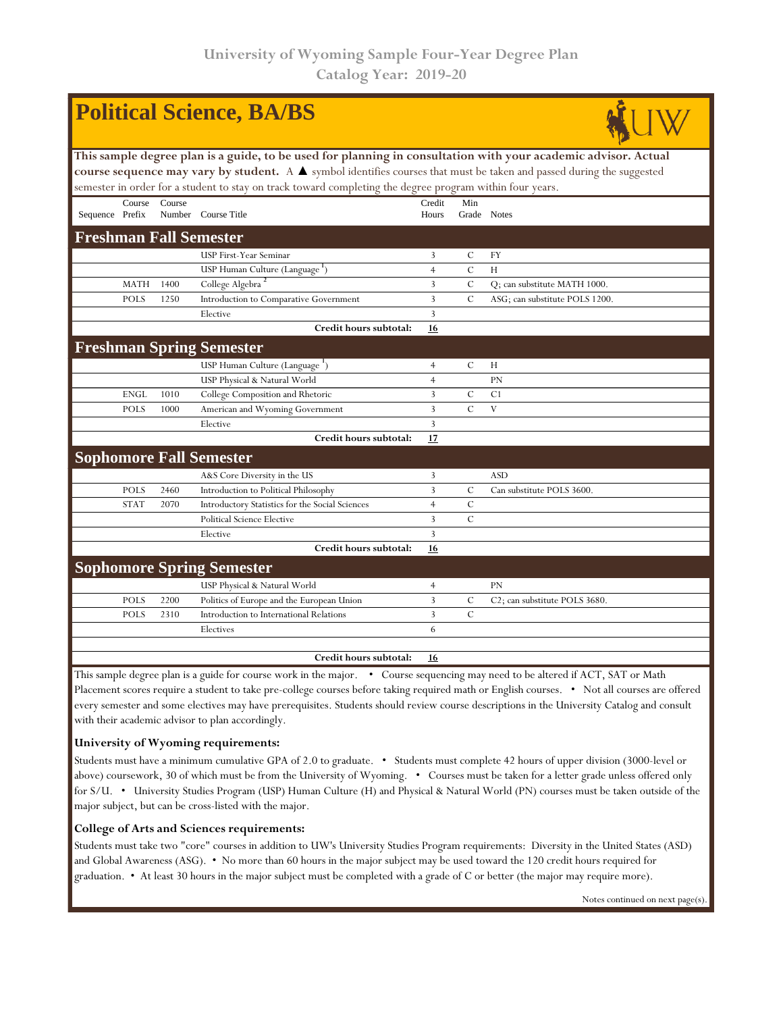| <b>Political Science, BA/BS</b>                                                                                                 |                                                                                                                                                                                                                                         |        |                                                 |                |               |                                            |  |  |  |  |  |  |  |
|---------------------------------------------------------------------------------------------------------------------------------|-----------------------------------------------------------------------------------------------------------------------------------------------------------------------------------------------------------------------------------------|--------|-------------------------------------------------|----------------|---------------|--------------------------------------------|--|--|--|--|--|--|--|
|                                                                                                                                 | This sample degree plan is a guide, to be used for planning in consultation with your academic advisor. Actual<br>course sequence may vary by student. A A symbol identifies courses that must be taken and passed during the suggested |        |                                                 |                |               |                                            |  |  |  |  |  |  |  |
|                                                                                                                                 |                                                                                                                                                                                                                                         |        |                                                 |                |               |                                            |  |  |  |  |  |  |  |
| semester in order for a student to stay on track toward completing the degree program within four years.                        |                                                                                                                                                                                                                                         |        |                                                 |                |               |                                            |  |  |  |  |  |  |  |
|                                                                                                                                 | Course                                                                                                                                                                                                                                  | Course |                                                 | Credit         | Min           |                                            |  |  |  |  |  |  |  |
| Sequence Prefix                                                                                                                 |                                                                                                                                                                                                                                         |        | Number Course Title                             | Hours          |               | Grade Notes                                |  |  |  |  |  |  |  |
| <b>Freshman Fall Semester</b>                                                                                                   |                                                                                                                                                                                                                                         |        |                                                 |                |               |                                            |  |  |  |  |  |  |  |
|                                                                                                                                 |                                                                                                                                                                                                                                         |        | USP First-Year Seminar                          | 3              | C             | FY                                         |  |  |  |  |  |  |  |
|                                                                                                                                 |                                                                                                                                                                                                                                         |        | USP Human Culture (Language <sup>1</sup> )      | $\overline{4}$ | $\mathcal{C}$ | H                                          |  |  |  |  |  |  |  |
|                                                                                                                                 | <b>MATH</b>                                                                                                                                                                                                                             | 1400   | College Algebra <sup>2</sup>                    | 3              | $\mathcal{C}$ | Q; can substitute MATH 1000.               |  |  |  |  |  |  |  |
|                                                                                                                                 | <b>POLS</b>                                                                                                                                                                                                                             | 1250   | Introduction to Comparative Government          | 3              | $\mathcal{C}$ | ASG; can substitute POLS 1200.             |  |  |  |  |  |  |  |
|                                                                                                                                 |                                                                                                                                                                                                                                         |        | Elective                                        | 3              |               |                                            |  |  |  |  |  |  |  |
|                                                                                                                                 |                                                                                                                                                                                                                                         |        | Credit hours subtotal:                          | 16             |               |                                            |  |  |  |  |  |  |  |
|                                                                                                                                 |                                                                                                                                                                                                                                         |        | <b>Freshman Spring Semester</b>                 |                |               |                                            |  |  |  |  |  |  |  |
|                                                                                                                                 |                                                                                                                                                                                                                                         |        | USP Human Culture (Language <sup>1</sup> )      | $\overline{4}$ | $\mathcal{C}$ | Н                                          |  |  |  |  |  |  |  |
|                                                                                                                                 |                                                                                                                                                                                                                                         |        | USP Physical & Natural World                    | $\overline{4}$ |               | PN                                         |  |  |  |  |  |  |  |
|                                                                                                                                 | ENGL                                                                                                                                                                                                                                    | 1010   | College Composition and Rhetoric                | 3              | C             | C <sub>1</sub>                             |  |  |  |  |  |  |  |
|                                                                                                                                 | <b>POLS</b>                                                                                                                                                                                                                             | 1000   | American and Wyoming Government                 | 3              | $\mathcal{C}$ | V                                          |  |  |  |  |  |  |  |
|                                                                                                                                 |                                                                                                                                                                                                                                         |        | Elective                                        | 3              |               |                                            |  |  |  |  |  |  |  |
|                                                                                                                                 |                                                                                                                                                                                                                                         |        | Credit hours subtotal:                          | 17             |               |                                            |  |  |  |  |  |  |  |
|                                                                                                                                 |                                                                                                                                                                                                                                         |        | <b>Sophomore Fall Semester</b>                  |                |               |                                            |  |  |  |  |  |  |  |
|                                                                                                                                 |                                                                                                                                                                                                                                         |        | A&S Core Diversity in the US                    | 3              |               | <b>ASD</b>                                 |  |  |  |  |  |  |  |
|                                                                                                                                 | <b>POLS</b>                                                                                                                                                                                                                             | 2460   | Introduction to Political Philosophy            | 3              | $\mathcal{C}$ | Can substitute POLS 3600.                  |  |  |  |  |  |  |  |
|                                                                                                                                 | <b>STAT</b>                                                                                                                                                                                                                             | 2070   | Introductory Statistics for the Social Sciences | $\overline{4}$ | $\mathbf C$   |                                            |  |  |  |  |  |  |  |
|                                                                                                                                 |                                                                                                                                                                                                                                         |        | <b>Political Science Elective</b>               | 3              | $\mathcal{C}$ |                                            |  |  |  |  |  |  |  |
|                                                                                                                                 |                                                                                                                                                                                                                                         |        | Elective                                        | 3              |               |                                            |  |  |  |  |  |  |  |
|                                                                                                                                 |                                                                                                                                                                                                                                         |        | Credit hours subtotal:                          | 16             |               |                                            |  |  |  |  |  |  |  |
|                                                                                                                                 |                                                                                                                                                                                                                                         |        | <b>Sophomore Spring Semester</b>                |                |               |                                            |  |  |  |  |  |  |  |
|                                                                                                                                 |                                                                                                                                                                                                                                         |        | USP Physical & Natural World                    | $\overline{4}$ |               | <b>PN</b>                                  |  |  |  |  |  |  |  |
|                                                                                                                                 | <b>POLS</b>                                                                                                                                                                                                                             | 2200   | Politics of Europe and the European Union       | 3              | C             | C <sub>2</sub> ; can substitute POLS 3680. |  |  |  |  |  |  |  |
|                                                                                                                                 | <b>POLS</b>                                                                                                                                                                                                                             | 2310   | Introduction to International Relations         | $\overline{3}$ | $\mathbf C$   |                                            |  |  |  |  |  |  |  |
|                                                                                                                                 |                                                                                                                                                                                                                                         |        | Electives                                       | 6              |               |                                            |  |  |  |  |  |  |  |
|                                                                                                                                 |                                                                                                                                                                                                                                         |        |                                                 |                |               |                                            |  |  |  |  |  |  |  |
|                                                                                                                                 |                                                                                                                                                                                                                                         |        | Credit hours subtotal:                          | 16             |               |                                            |  |  |  |  |  |  |  |
| This sample degree plan is a guide for course work in the major. • Course sequencing may need to be altered if ACT, SAT or Math |                                                                                                                                                                                                                                         |        |                                                 |                |               |                                            |  |  |  |  |  |  |  |

Placement scores require a student to take pre-college courses before taking required math or English courses. • Not all courses are offered every semester and some electives may have prerequisites. Students should review course descriptions in the University Catalog and consult with their academic advisor to plan accordingly.

## **University of Wyoming requirements:**

Students must have a minimum cumulative GPA of 2.0 to graduate. • Students must complete 42 hours of upper division (3000-level or above) coursework, 30 of which must be from the University of Wyoming. • Courses must be taken for a letter grade unless offered only for S/U. • University Studies Program (USP) Human Culture (H) and Physical & Natural World (PN) courses must be taken outside of the major subject, but can be cross-listed with the major.

## **College of Arts and Sciences requirements:**

Students must take two "core" courses in addition to UW's University Studies Program requirements: Diversity in the United States (ASD) and Global Awareness (ASG). • No more than 60 hours in the major subject may be used toward the 120 credit hours required for graduation. • At least 30 hours in the major subject must be completed with a grade of C or better (the major may require more).